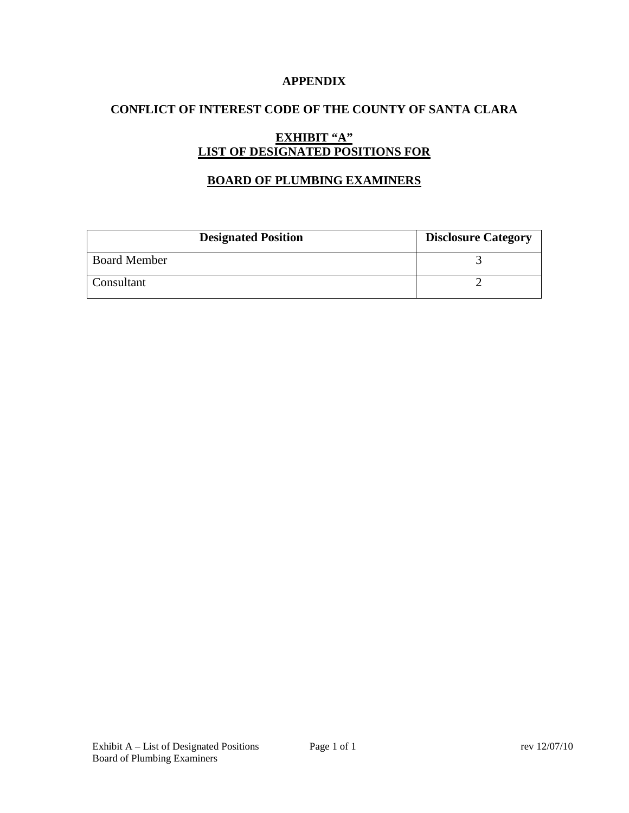### **APPENDIX**

# **CONFLICT OF INTEREST CODE OF THE COUNTY OF SANTA CLARA**

# **EXHIBIT "A" LIST OF DESIGNATED POSITIONS FOR**

# **BOARD OF PLUMBING EXAMINERS**

| <b>Designated Position</b> | <b>Disclosure Category</b> |
|----------------------------|----------------------------|
| <b>Board Member</b>        |                            |
| Consultant                 |                            |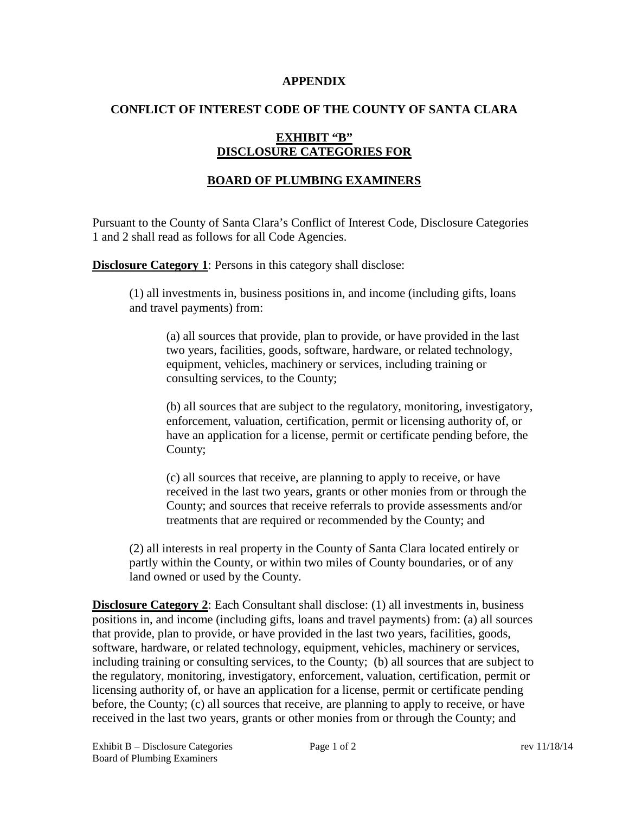#### **APPENDIX**

### **CONFLICT OF INTEREST CODE OF THE COUNTY OF SANTA CLARA**

# **EXHIBIT "B" DISCLOSURE CATEGORIES FOR**

# **BOARD OF PLUMBING EXAMINERS**

Pursuant to the County of Santa Clara's Conflict of Interest Code, Disclosure Categories 1 and 2 shall read as follows for all Code Agencies.

**Disclosure Category 1:** Persons in this category shall disclose:

(1) all investments in, business positions in, and income (including gifts, loans and travel payments) from:

(a) all sources that provide, plan to provide, or have provided in the last two years, facilities, goods, software, hardware, or related technology, equipment, vehicles, machinery or services, including training or consulting services, to the County;

(b) all sources that are subject to the regulatory, monitoring, investigatory, enforcement, valuation, certification, permit or licensing authority of, or have an application for a license, permit or certificate pending before, the County;

(c) all sources that receive, are planning to apply to receive, or have received in the last two years, grants or other monies from or through the County; and sources that receive referrals to provide assessments and/or treatments that are required or recommended by the County; and

(2) all interests in real property in the County of Santa Clara located entirely or partly within the County, or within two miles of County boundaries, or of any land owned or used by the County.

**Disclosure Category 2:** Each Consultant shall disclose: (1) all investments in, business positions in, and income (including gifts, loans and travel payments) from: (a) all sources that provide, plan to provide, or have provided in the last two years, facilities, goods, software, hardware, or related technology, equipment, vehicles, machinery or services, including training or consulting services, to the County; (b) all sources that are subject to the regulatory, monitoring, investigatory, enforcement, valuation, certification, permit or licensing authority of, or have an application for a license, permit or certificate pending before, the County; (c) all sources that receive, are planning to apply to receive, or have received in the last two years, grants or other monies from or through the County; and